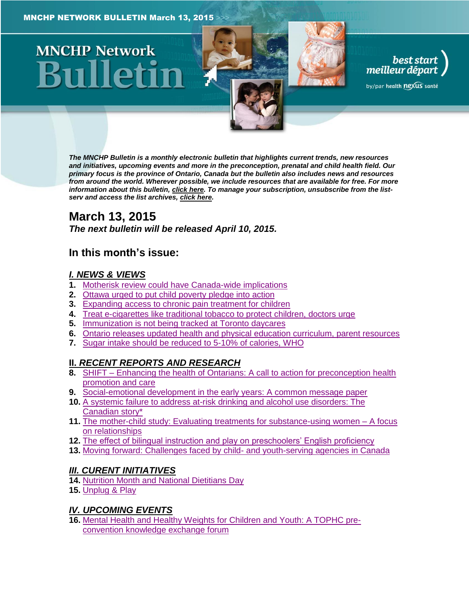# **MNCHP Network**

*The MNCHP Bulletin is a monthly electronic bulletin that highlights current trends, new resources and initiatives, upcoming events and more in the preconception, prenatal and child health field. Our primary focus is the province of Ontario, Canada but the bulletin also includes news and resources from around the world. Wherever possible, we include resources that are available for free. For more information about this bulletin[, click here.](#page-16-0) To manage your subscription, unsubscribe from the listserv and access the list archives, [click here.](http://beststart.org/services/information.html)* 

best start<br>| best start<br>| meilleur départ

by/par health nexus santé

# **March 13, 2015**

*The next bulletin will be released April 10, 2015.*

## **In this month's issue:**

## *[I. NEWS & VIEWS](#page-1-0)*

- **1.** [Motherisk review could have Canada-wide implications](#page-1-1)
- **2.** [Ottawa urged to put child poverty pledge into action](#page-1-2)
- **3.** [Expanding access to chronic pain treatment for children](#page-2-0)
- **4.** [Treat e-cigarettes like traditional tobacco to protect children, doctors urge](#page-2-1)
- **5.** [Immunization is not being tracked at Toronto daycares](#page-2-2)
- **6.** [Ontario releases updated health and physical education curriculum, parent resources](#page-3-0)
- **7.** [Sugar intake should be reduced to 5-10% of calories, WHO](#page-3-1)

## **II.** *[RECENT REPORTS AND RESEARCH](#page-4-0)*

- **8.** SHIFT [Enhancing the health of Ontarians: A call to action for preconception health](#page-4-1)  [promotion and care](#page-4-1)
- **9.** [Social-emotional development in the early years: A common message paper](#page-5-0)
- **10.** [A systemic failure to address at-risk drinking and alcohol use disorders: The](#page-5-1)  [Canadian story\\*](#page-5-1)
- **11.** [The mother-child study: Evaluating treatments for substance-using women –](#page-7-0) A focus [on relationships](#page-7-0)
- 12. [The effect of bilingual instruction and play on preschoolers' English proficiency](#page-8-0)
- **13.** [Moving forward: Challenges faced by child-](#page-8-1) and youth-serving agencies in Canada

## *[III. CURENT INITIATIVES](#page-9-0)*

- **14.** [Nutrition Month and National Dietitians Day](#page-9-1)
- **15.** [Unplug & Play](#page-10-0)

## *[IV. UPCOMING EVENTS](#page-11-0)*

**16.** [Mental Health and Healthy Weights for Children](#page-11-1) and Youth: A TOPHC pre[convention knowledge exchange forum](#page-11-1)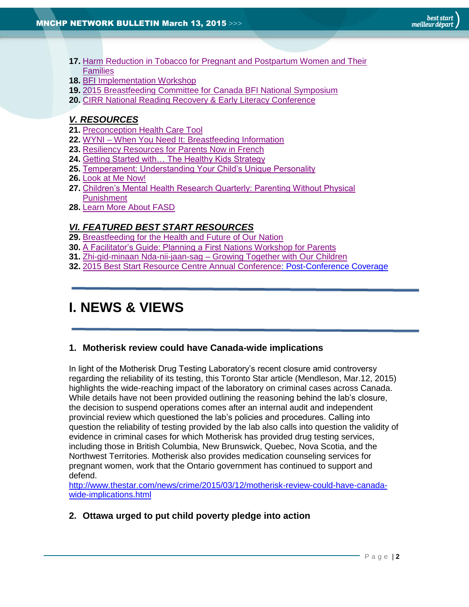- **17.** [Harm Reduction in Tobacco for Pregnant and Postpartum Women and Their](#page-11-2)  **[Families](#page-11-2)**
- **18.** [BFI Implementation Workshop](#page-11-3)
- **19.** [2015 Breastfeeding Committee for Canada BFI National Symposium](#page-12-0)
- **20.** [CIRR National Reading Recovery & Early Literacy Conference](#page-12-1)

## *[V. RESOURCES](#page-12-2)*

- **21.** [Preconception Health Care Tool](#page-12-3)
- **22.** WYNI [When You Need It: Breastfeeding Information](#page-12-4)
- **23.** [Resiliency Resources for Parents Now in French](#page-13-0)
- **24.** [Getting Started with… The Healthy Kids Strategy](#page-13-1)
- **25.** [Temperament: Understanding Your Child's Unique Personality](#page-13-2)
- **26.** [Look at Me Now!](#page-14-0)
- **27.** [Children's Mental Health Research Quarterly: Parenting Without Physical](#page-14-1)  [Punishment](#page-14-1)
- **28.** [Learn More About FASD](#page-14-2)

#### *[VI. FEATURED BEST START RESOURCES](#page-15-0)*

- **29.** [Breastfeeding for the Health and Future of Our Nation](#page-15-1)
- **30.** [A Facilitator's Guide: Planning a First](#page-15-2) Nations Workshop for Parents
- **31.** Zhi-gid-minaan Nda-nii-jaan-sag [Growing Together with Our Children](#page-16-1)
- **32.** [2015 Best Start Resource Centre Annual Conference:](#page-16-2) Post-Conference Coverage

# <span id="page-1-0"></span>**I. NEWS & VIEWS**

#### <span id="page-1-1"></span>**1. Motherisk review could have Canada-wide implications**

In light of the Motherisk Drug Testing Laboratory's recent closure amid controversy regarding the reliability of its testing, this Toronto Star article (Mendleson, Mar.12, 2015) highlights the wide-reaching impact of the laboratory on criminal cases across Canada. While details have not been provided outlining the reasoning behind the lab's closure, the decision to suspend operations comes after an internal audit and independent provincial review which questioned the lab's policies and procedures. Calling into question the reliability of testing provided by the lab also calls into question the validity of evidence in criminal cases for which Motherisk has provided drug testing services, including those in British Columbia, New Brunswick, Quebec, Nova Scotia, and the Northwest Territories. Motherisk also provides medication counseling services for pregnant women, work that the Ontario government has continued to support and defend.

[http://www.thestar.com/news/crime/2015/03/12/motherisk-review-could-have-canada](http://www.thestar.com/news/crime/2015/03/12/motherisk-review-could-have-canada-wide-implications.html)[wide-implications.html](http://www.thestar.com/news/crime/2015/03/12/motherisk-review-could-have-canada-wide-implications.html)

<span id="page-1-2"></span>**2. Ottawa urged to put child poverty pledge into action**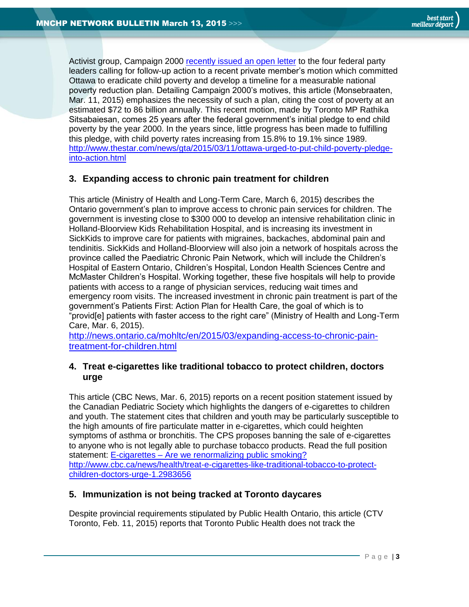Activist group, Campaign 2000 [recently issued an open](http://www.campaign2000.ca/OpenLetterNowTimetoActonChildandFamilyPovertyMarch_11_2015.pdf) letter to the four federal party leaders calling for follow-up action to a recent private member's motion which committed Ottawa to eradicate child poverty and develop a timeline for a measurable national poverty reduction plan. Detailing Campaign 2000's motives, this article (Monsebraaten, Mar. 11, 2015) emphasizes the necessity of such a plan, citing the cost of poverty at an estimated \$72 to 86 billion annually. This recent motion, made by Toronto MP Rathika Sitsabaiesan, comes 25 years after the federal government's initial pledge to end child poverty by the year 2000. In the years since, little progress has been made to fulfilling this pledge, with child poverty rates increasing from 15.8% to 19.1% since 1989. [http://www.thestar.com/news/gta/2015/03/11/ottawa-urged-to-put-child-poverty-pledge](http://www.thestar.com/news/gta/2015/03/11/ottawa-urged-to-put-child-poverty-pledge-into-action.html)[into-action.html](http://www.thestar.com/news/gta/2015/03/11/ottawa-urged-to-put-child-poverty-pledge-into-action.html)

## <span id="page-2-0"></span>**3. Expanding access to chronic pain treatment for children**

This article (Ministry of Health and Long-Term Care, March 6, 2015) describes the Ontario government's plan to improve access to chronic pain services for children. The government is investing close to \$300 000 to develop an intensive rehabilitation clinic in Holland-Bloorview Kids Rehabilitation Hospital, and is increasing its investment in SickKids to improve care for patients with migraines, backaches, abdominal pain and tendinitis. SickKids and Holland-Bloorview will also join a network of hospitals across the province called the Paediatric Chronic Pain Network, which will include the Children's Hospital of Eastern Ontario, Children's Hospital, London Health Sciences Centre and McMaster Children's Hospital. Working together, these five hospitals will help to provide patients with access to a range of physician services, reducing wait times and emergency room visits. The increased investment in chronic pain treatment is part of the government's Patients First: Action Plan for Health Care, the goal of which is to "provid[e] patients with faster access to the right care" (Ministry of Health and Long-Term Care, Mar. 6, 2015).

[http://news.ontario.ca/mohltc/en/2015/03/expanding-access-to-chronic-pain](http://news.ontario.ca/mohltc/en/2015/03/expanding-access-to-chronic-pain-treatment-for-children.html)[treatment-for-children.html](http://news.ontario.ca/mohltc/en/2015/03/expanding-access-to-chronic-pain-treatment-for-children.html)

#### <span id="page-2-1"></span>**4. Treat e-cigarettes like traditional tobacco to protect children, doctors urge**

This article (CBC News, Mar. 6, 2015) reports on a recent position statement issued by the Canadian Pediatric Society which highlights the dangers of e-cigarettes to children and youth. The statement cites that children and youth may be particularly susceptible to the high amounts of fire particulate matter in e-cigarettes, which could heighten symptoms of asthma or bronchitis. The CPS proposes banning the sale of e-cigarettes to anyone who is not legally able to purchase tobacco products. Read the full position statement: E-cigarettes – [Are we renormalizing public smoking?](http://www.cps.ca/en/documents/position/e-cigarettes) [http://www.cbc.ca/news/health/treat-e-cigarettes-like-traditional-tobacco-to-protect](http://www.cbc.ca/news/health/treat-e-cigarettes-like-traditional-tobacco-to-protect-children-doctors-urge-1.2983656)[children-doctors-urge-1.2983656](http://www.cbc.ca/news/health/treat-e-cigarettes-like-traditional-tobacco-to-protect-children-doctors-urge-1.2983656)

#### <span id="page-2-2"></span>**5. Immunization is not being tracked at Toronto daycares**

Despite provincial requirements stipulated by Public Health Ontario, this article (CTV Toronto, Feb. 11, 2015) reports that Toronto Public Health does not track the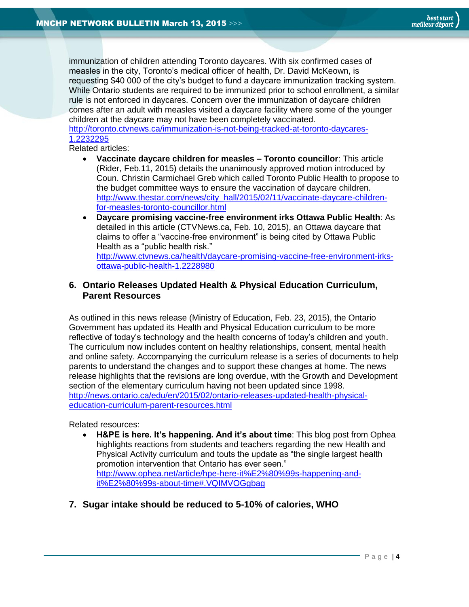immunization of children attending Toronto daycares. With six confirmed cases of measles in the city, Toronto's medical officer of health, Dr. David McKeown, is requesting \$40 000 of the city's budget to fund a daycare immunization tracking system. While Ontario students are required to be immunized prior to school enrollment, a similar rule is not enforced in daycares. Concern over the immunization of daycare children comes after an adult with measles visited a daycare facility where some of the younger children at the daycare may not have been completely vaccinated.

[http://toronto.ctvnews.ca/immunization-is-not-being-tracked-at-toronto-daycares-](http://toronto.ctvnews.ca/immunization-is-not-being-tracked-at-toronto-daycares-1.2232295)[1.2232295](http://toronto.ctvnews.ca/immunization-is-not-being-tracked-at-toronto-daycares-1.2232295)

Related articles:

- **Vaccinate daycare children for measles – Toronto councillor**: This article (Rider, Feb.11, 2015) details the unanimously approved motion introduced by Coun. Christin Carmichael Greb which called Toronto Public Health to propose to the budget committee ways to ensure the vaccination of daycare children. [http://www.thestar.com/news/city\\_hall/2015/02/11/vaccinate-daycare-children](http://www.thestar.com/news/city_hall/2015/02/11/vaccinate-daycare-children-for-measles-toronto-councillor.html)[for-measles-toronto-councillor.html](http://www.thestar.com/news/city_hall/2015/02/11/vaccinate-daycare-children-for-measles-toronto-councillor.html)
- **Daycare promising vaccine-free environment irks Ottawa Public Health**: As detailed in this article (CTVNews.ca, Feb. 10, 2015), an Ottawa daycare that claims to offer a "vaccine-free environment" is being cited by Ottawa Public Health as a "public health risk."

[http://www.ctvnews.ca/health/daycare-promising-vaccine-free-environment-irks](http://www.ctvnews.ca/health/daycare-promising-vaccine-free-environment-irks-ottawa-public-health-1.2228980)[ottawa-public-health-1.2228980](http://www.ctvnews.ca/health/daycare-promising-vaccine-free-environment-irks-ottawa-public-health-1.2228980)

#### <span id="page-3-0"></span>**6. Ontario Releases Updated Health & Physical Education Curriculum, Parent Resources**

As outlined in this news release (Ministry of Education, Feb. 23, 2015), the Ontario Government has updated its Health and Physical Education curriculum to be more reflective of today's technology and the health concerns of today's children and youth. The curriculum now includes content on healthy relationships, consent, mental health and online safety. Accompanying the curriculum release is a series of documents to help parents to understand the changes and to support these changes at home. The news release highlights that the revisions are long overdue, with the Growth and Development section of the elementary curriculum having not been updated since 1998. [http://news.ontario.ca/edu/en/2015/02/ontario-releases-updated-health-physical](http://news.ontario.ca/edu/en/2015/02/ontario-releases-updated-health-physical-education-curriculum-parent-resources.html)[education-curriculum-parent-resources.html](http://news.ontario.ca/edu/en/2015/02/ontario-releases-updated-health-physical-education-curriculum-parent-resources.html)

Related resources:

- **H&PE is here. It's happening. And it's about time**: This blog post from Ophea highlights reactions from students and teachers regarding the new Health and Physical Activity curriculum and touts the update as "the single largest health promotion intervention that Ontario has ever seen." [http://www.ophea.net/article/hpe-here-it%E2%80%99s-happening-and](http://www.ophea.net/article/hpe-here-it%E2%80%99s-happening-and-it%E2%80%99s-about-time#.VQIMVOGgbag)[it%E2%80%99s-about-time#.VQIMVOGgbag](http://www.ophea.net/article/hpe-here-it%E2%80%99s-happening-and-it%E2%80%99s-about-time#.VQIMVOGgbag)
- <span id="page-3-1"></span>**7. Sugar intake should be reduced to 5-10% of calories, WHO**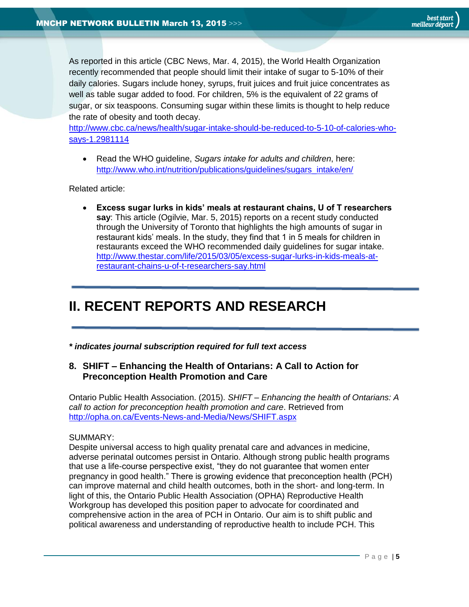As reported in this article (CBC News, Mar. 4, 2015), the World Health Organization recently recommended that people should limit their intake of sugar to 5-10% of their daily calories. Sugars include honey, syrups, fruit juices and fruit juice concentrates as well as table sugar added to food. For children, 5% is the equivalent of 22 grams of sugar, or six teaspoons. Consuming sugar within these limits is thought to help reduce the rate of obesity and tooth decay.

[http://www.cbc.ca/news/health/sugar-intake-should-be-reduced-to-5-10-of-calories-who](http://www.cbc.ca/news/health/sugar-intake-should-be-reduced-to-5-10-of-calories-who-says-1.2981114)[says-1.2981114](http://www.cbc.ca/news/health/sugar-intake-should-be-reduced-to-5-10-of-calories-who-says-1.2981114)

 Read the WHO guideline, *Sugars intake for adults and children*, here: [http://www.who.int/nutrition/publications/guidelines/sugars\\_intake/en/](http://www.who.int/nutrition/publications/guidelines/sugars_intake/en/)

Related article:

 **Excess sugar lurks in kids' meals at restaurant chains, U of T researchers say**: This article (Ogilvie, Mar. 5, 2015) reports on a recent study conducted through the University of Toronto that highlights the high amounts of sugar in restaurant kids' meals. In the study, they find that 1 in 5 meals for children in restaurants exceed the WHO recommended daily guidelines for sugar intake. [http://www.thestar.com/life/2015/03/05/excess-sugar-lurks-in-kids-meals-at](http://www.thestar.com/life/2015/03/05/excess-sugar-lurks-in-kids-meals-at-restaurant-chains-u-of-t-researchers-say.html)[restaurant-chains-u-of-t-researchers-say.html](http://www.thestar.com/life/2015/03/05/excess-sugar-lurks-in-kids-meals-at-restaurant-chains-u-of-t-researchers-say.html)

# <span id="page-4-0"></span>**II. RECENT REPORTS AND RESEARCH**

*\* indicates journal subscription required for full text access*

## <span id="page-4-1"></span>**8. SHIFT – Enhancing the Health of Ontarians: A Call to Action for Preconception Health Promotion and Care**

Ontario Public Health Association. (2015). *SHIFT – Enhancing the health of Ontarians: A call to action for preconception health promotion and care*. Retrieved from <http://opha.on.ca/Events-News-and-Media/News/SHIFT.aspx>

#### SUMMARY:

Despite universal access to high quality prenatal care and advances in medicine, adverse perinatal outcomes persist in Ontario. Although strong public health programs that use a life-course perspective exist, "they do not guarantee that women enter pregnancy in good health." There is growing evidence that preconception health (PCH) can improve maternal and child health outcomes, both in the short- and long-term. In light of this, the Ontario Public Health Association (OPHA) Reproductive Health Workgroup has developed this position paper to advocate for coordinated and comprehensive action in the area of PCH in Ontario. Our aim is to shift public and political awareness and understanding of reproductive health to include PCH. This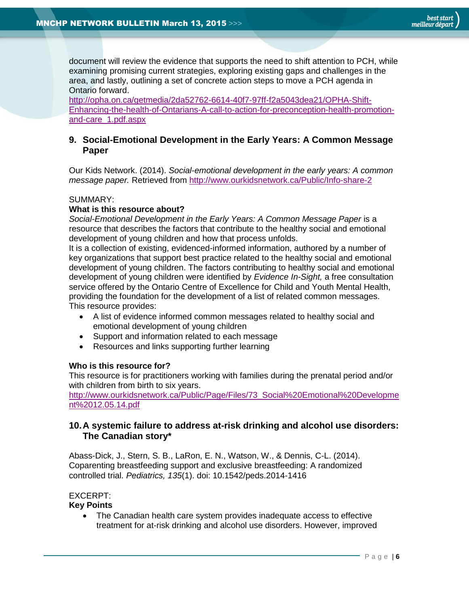document will review the evidence that supports the need to shift attention to PCH, while examining promising current strategies, exploring existing gaps and challenges in the area, and lastly, outlining a set of concrete action steps to move a PCH agenda in Ontario forward.

[http://opha.on.ca/getmedia/2da52762-6614-40f7-97ff-f2a5043dea21/OPHA-Shift-](http://opha.on.ca/getmedia/2da52762-6614-40f7-97ff-f2a5043dea21/OPHA-Shift-Enhancing-the-health-of-Ontarians-A-call-to-action-for-preconception-health-promotion-and-care_1.pdf.aspx)[Enhancing-the-health-of-Ontarians-A-call-to-action-for-preconception-health-promotion](http://opha.on.ca/getmedia/2da52762-6614-40f7-97ff-f2a5043dea21/OPHA-Shift-Enhancing-the-health-of-Ontarians-A-call-to-action-for-preconception-health-promotion-and-care_1.pdf.aspx)[and-care\\_1.pdf.aspx](http://opha.on.ca/getmedia/2da52762-6614-40f7-97ff-f2a5043dea21/OPHA-Shift-Enhancing-the-health-of-Ontarians-A-call-to-action-for-preconception-health-promotion-and-care_1.pdf.aspx)

#### <span id="page-5-0"></span>**9. Social-Emotional Development in the Early Years: A Common Message Paper**

Our Kids Network. (2014). *Social-emotional development in the early years: A common message paper.* Retrieved from<http://www.ourkidsnetwork.ca/Public/Info-share-2>

#### SUMMARY:

#### **What is this resource about?**

Social-Emotional Development in the Early Years: A Common Message Paper is a resource that describes the factors that contribute to the healthy social and emotional development of young children and how that process unfolds.

It is a collection of existing, evidenced-informed information, authored by a number of key organizations that support best practice related to the healthy social and emotional development of young children. The factors contributing to healthy social and emotional development of young children were identified by *Evidence In-Sight,* a free consultation service offered by the Ontario Centre of Excellence for Child and Youth Mental Health, providing the foundation for the development of a list of related common messages. This resource provides:

- A list of evidence informed common messages related to healthy social and emotional development of young children
- Support and information related to each message
- Resources and links supporting further learning

#### **Who is this resource for?**

This resource is for practitioners working with families during the prenatal period and/or with children from birth to six years.

[http://www.ourkidsnetwork.ca/Public/Page/Files/73\\_Social%20Emotional%20Developme](http://www.ourkidsnetwork.ca/Public/Page/Files/73_Social%20Emotional%20Development%2012.05.14.pdf) [nt%2012.05.14.pdf](http://www.ourkidsnetwork.ca/Public/Page/Files/73_Social%20Emotional%20Development%2012.05.14.pdf)

#### <span id="page-5-1"></span>**10.A systemic failure to address at-risk drinking and alcohol use disorders: The Canadian story\***

Abass-Dick, J., Stern, S. B., LaRon, E. N., Watson, W., & Dennis, C-L. (2014). Coparenting breastfeeding support and exclusive breastfeeding: A randomized controlled trial. *Pediatrics, 135*(1). doi: 10.1542/peds.2014-1416

#### EXCERPT:

#### **Key Points**

 The Canadian health care system provides inadequate access to effective treatment for at-risk drinking and alcohol use disorders. However, improved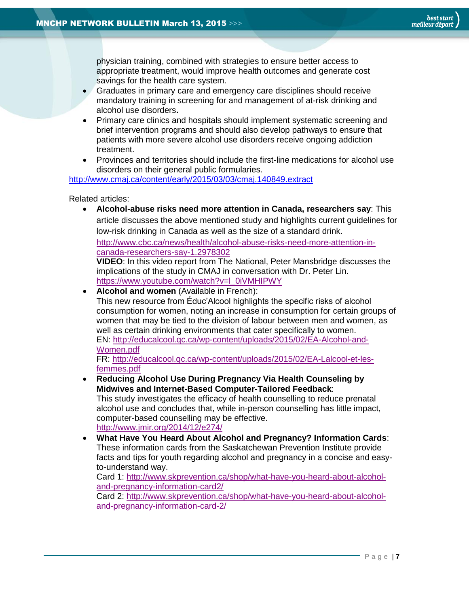physician training, combined with strategies to ensure better access to appropriate treatment, would improve health outcomes and generate cost savings for the health care system.

- Graduates in primary care and emergency care disciplines should receive mandatory training in screening for and management of at-risk drinking and alcohol use disorders**.**
- Primary care clinics and hospitals should implement systematic screening and brief intervention programs and should also develop pathways to ensure that patients with more severe alcohol use disorders receive ongoing addiction treatment.
- Provinces and territories should include the first-line medications for alcohol use disorders on their general public formularies.

<http://www.cmaj.ca/content/early/2015/03/03/cmaj.140849.extract>

Related articles:

 **Alcohol-abuse risks need more attention in Canada, researchers say**: This article discusses the above mentioned study and highlights current guidelines for low-risk drinking in Canada as well as the size of a standard drink.

[http://www.cbc.ca/news/health/alcohol-abuse-risks-need-more-attention-in](http://www.cbc.ca/news/health/alcohol-abuse-risks-need-more-attention-in-canada-researchers-say-1.2978302)[canada-researchers-say-1.2978302](http://www.cbc.ca/news/health/alcohol-abuse-risks-need-more-attention-in-canada-researchers-say-1.2978302)

**VIDEO**: In this video report from The National, Peter Mansbridge discusses the implications of the study in CMAJ in conversation with Dr. Peter Lin. [https://www.youtube.com/watch?v=l\\_0iVMHIPWY](https://www.youtube.com/watch?v=l_0iVMHIPWY)

**Alcohol and women** (Available in French):

This new resource from Éduc'Alcool highlights the specific risks of alcohol consumption for women, noting an increase in consumption for certain groups of women that may be tied to the division of labour between men and women, as well as certain drinking environments that cater specifically to women.

EN: [http://educalcool.qc.ca/wp-content/uploads/2015/02/EA-Alcohol-and-](http://educalcool.qc.ca/wp-content/uploads/2015/02/EA-Alcohol-and-Women.pdf)[Women.pdf](http://educalcool.qc.ca/wp-content/uploads/2015/02/EA-Alcohol-and-Women.pdf)

FR: [http://educalcool.qc.ca/wp-content/uploads/2015/02/EA-Lalcool-et-les](http://educalcool.qc.ca/wp-content/uploads/2015/02/EA-Lalcool-et-les-femmes.pdf)[femmes.pdf](http://educalcool.qc.ca/wp-content/uploads/2015/02/EA-Lalcool-et-les-femmes.pdf)

- **Reducing Alcohol Use During Pregnancy Via Health Counseling by Midwives and Internet-Based Computer-Tailored Feedback**: This study investigates the efficacy of health counselling to reduce prenatal alcohol use and concludes that, while in-person counselling has little impact, computer-based counselling may be effective. <http://www.jmir.org/2014/12/e274/>
- **What Have You Heard About Alcohol and Pregnancy? Information Cards**: These information cards from the Saskatchewan Prevention Institute provide facts and tips for youth regarding alcohol and pregnancy in a concise and easyto-understand way.

Card 1: [http://www.skprevention.ca/shop/what-have-you-heard-about-alcohol](http://www.skprevention.ca/shop/what-have-you-heard-about-alcohol-and-pregnancy-information-card2/)[and-pregnancy-information-card2/](http://www.skprevention.ca/shop/what-have-you-heard-about-alcohol-and-pregnancy-information-card2/)

Card 2: [http://www.skprevention.ca/shop/what-have-you-heard-about-alcohol](http://www.skprevention.ca/shop/what-have-you-heard-about-alcohol-and-pregnancy-information-card-2/)[and-pregnancy-information-card-2/](http://www.skprevention.ca/shop/what-have-you-heard-about-alcohol-and-pregnancy-information-card-2/)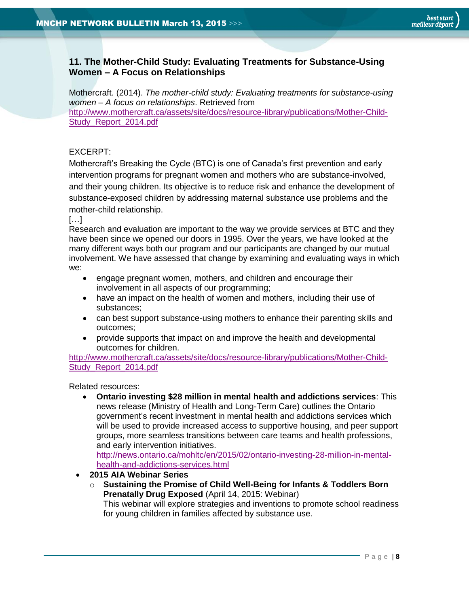#### <span id="page-7-0"></span>**11. The Mother-Child Study: Evaluating Treatments for Substance-Using Women – A Focus on Relationships**

Mothercraft. (2014). *The mother-child study: Evaluating treatments for substance-using women – A focus on relationships*. Retrieved from [http://www.mothercraft.ca/assets/site/docs/resource-library/publications/Mother-Child-](http://www.mothercraft.ca/assets/site/docs/resource-library/publications/Mother-Child-Study_Report_2014.pdf)Study Report 2014.pdf

#### EXCERPT:

Mothercraft's Breaking the Cycle (BTC) is one of Canada's first prevention and early intervention programs for pregnant women and mothers who are substance-involved, and their young children. Its objective is to reduce risk and enhance the development of substance-exposed children by addressing maternal substance use problems and the mother-child relationship.

#### […]

Research and evaluation are important to the way we provide services at BTC and they have been since we opened our doors in 1995. Over the years, we have looked at the many different ways both our program and our participants are changed by our mutual involvement. We have assessed that change by examining and evaluating ways in which we:

- engage pregnant women, mothers, and children and encourage their involvement in all aspects of our programming;
- have an impact on the health of women and mothers, including their use of substances;
- can best support substance-using mothers to enhance their parenting skills and outcomes;
- provide supports that impact on and improve the health and developmental outcomes for children.

[http://www.mothercraft.ca/assets/site/docs/resource-library/publications/Mother-Child-](http://www.mothercraft.ca/assets/site/docs/resource-library/publications/Mother-Child-Study_Report_2014.pdf)[Study\\_Report\\_2014.pdf](http://www.mothercraft.ca/assets/site/docs/resource-library/publications/Mother-Child-Study_Report_2014.pdf)

Related resources:

 **Ontario investing \$28 million in mental health and addictions services**: This news release (Ministry of Health and Long-Term Care) outlines the Ontario government's recent investment in mental health and addictions services which will be used to provide increased access to supportive housing, and peer support groups, more seamless transitions between care teams and health professions, and early intervention initiatives.

[http://news.ontario.ca/mohltc/en/2015/02/ontario-investing-28-million-in-mental](http://news.ontario.ca/mohltc/en/2015/02/ontario-investing-28-million-in-mental-health-and-addictions-services.html)[health-and-addictions-services.html](http://news.ontario.ca/mohltc/en/2015/02/ontario-investing-28-million-in-mental-health-and-addictions-services.html)

- **2015 AIA Webinar Series**
	- o **Sustaining the Promise of Child Well-Being for Infants & Toddlers Born Prenatally Drug Exposed** (April 14, 2015: Webinar) This webinar will explore strategies and inventions to promote school readiness for young children in families affected by substance use.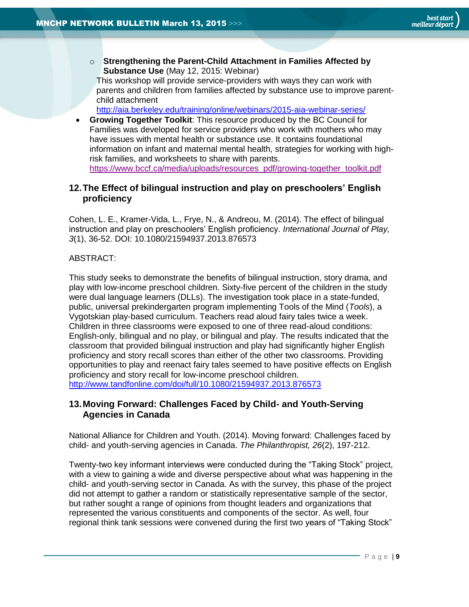o **Strengthening the Parent-Child Attachment in Families Affected by Substance Use** (May 12, 2015: Webinar)

This workshop will provide service-providers with ways they can work with parents and children from families affected by substance use to improve parentchild attachment

<http://aia.berkeley.edu/training/online/webinars/2015-aia-webinar-series/>

 **Growing Together Toolkit**: This resource produced by the BC Council for Families was developed for service providers who work with mothers who may have issues with mental health or substance use. It contains foundational information on infant and maternal mental health, strategies for working with highrisk families, and worksheets to share with parents. [https://www.bccf.ca/media/uploads/resources\\_pdf/growing-together\\_toolkit.pdf](https://www.bccf.ca/media/uploads/resources_pdf/growing-together_toolkit.pdf)

#### <span id="page-8-0"></span>**12.The Effect of bilingual instruction and play on preschoolers' English proficiency**

Cohen, L. E., Kramer-Vida, L., Frye, N., & Andreou, M. (2014). The effect of bilingual instruction and play on preschoolers' English proficiency. *International Journal of Play, 3*(1), 36-52. DOI: 10.1080/21594937.2013.876573

#### ABSTRACT:

This study seeks to demonstrate the benefits of bilingual instruction, story drama, and play with low-income preschool children. Sixty-five percent of the children in the study were dual language learners (DLLs). The investigation took place in a state-funded, public, universal prekindergarten program implementing Tools of the Mind (*Tools*), a Vygotskian play-based curriculum. Teachers read aloud fairy tales twice a week. Children in three classrooms were exposed to one of three read-aloud conditions: English-only, bilingual and no play, or bilingual and play. The results indicated that the classroom that provided bilingual instruction and play had significantly higher English proficiency and story recall scores than either of the other two classrooms. Providing opportunities to play and reenact fairy tales seemed to have positive effects on English proficiency and story recall for low-income preschool children. <http://www.tandfonline.com/doi/full/10.1080/21594937.2013.876573>

## <span id="page-8-1"></span>**13.Moving Forward: Challenges Faced by Child- and Youth-Serving Agencies in Canada**

National Alliance for Children and Youth. (2014). Moving forward: Challenges faced by child- and youth-serving agencies in Canada. *The Philanthropist, 26*(2), 197-212.

Twenty-two key informant interviews were conducted during the "Taking Stock" project, with a view to gaining a wide and diverse perspective about what was happening in the child- and youth-serving sector in Canada. As with the survey, this phase of the project did not attempt to gather a random or statistically representative sample of the sector, but rather sought a range of opinions from thought leaders and organizations that represented the various constituents and components of the sector. As well, four regional think tank sessions were convened during the first two years of "Taking Stock"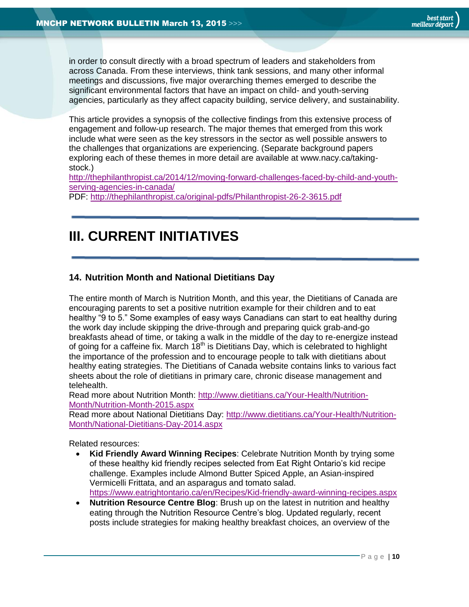in order to consult directly with a broad spectrum of leaders and stakeholders from across Canada. From these interviews, think tank sessions, and many other informal meetings and discussions, five major overarching themes emerged to describe the significant environmental factors that have an impact on child- and youth-serving agencies, particularly as they affect capacity building, service delivery, and sustainability.

This article provides a synopsis of the collective findings from this extensive process of engagement and follow-up research. The major themes that emerged from this work include what were seen as the key stressors in the sector as well possible answers to the challenges that organizations are experiencing. (Separate background papers exploring each of these themes in more detail are available at www.nacy.ca/takingstock.)

[http://thephilanthropist.ca/2014/12/moving-forward-challenges-faced-by-child-and-youth](http://thephilanthropist.ca/2014/12/moving-forward-challenges-faced-by-child-and-youth-serving-agencies-in-canada/)[serving-agencies-in-canada/](http://thephilanthropist.ca/2014/12/moving-forward-challenges-faced-by-child-and-youth-serving-agencies-in-canada/)

PDF:<http://thephilanthropist.ca/original-pdfs/Philanthropist-26-2-3615.pdf>

# <span id="page-9-0"></span>**III. CURRENT INITIATIVES**

## <span id="page-9-1"></span>**14. Nutrition Month and National Dietitians Day**

The entire month of March is Nutrition Month, and this year, the Dietitians of Canada are encouraging parents to set a positive nutrition example for their children and to eat healthy "9 to 5." Some examples of easy ways Canadians can start to eat healthy during the work day include skipping the drive-through and preparing quick grab-and-go breakfasts ahead of time, or taking a walk in the middle of the day to re-energize instead of going for a caffeine fix. March  $18<sup>th</sup>$  is Dietitians Day, which is celebrated to highlight the importance of the profession and to encourage people to talk with dietitians about healthy eating strategies. The Dietitians of Canada website contains links to various fact sheets about the role of dietitians in primary care, chronic disease management and telehealth.

Read more about Nutrition Month: [http://www.dietitians.ca/Your-Health/Nutrition-](http://www.dietitians.ca/Your-Health/Nutrition-Month/Nutrition-Month-2015.aspx)[Month/Nutrition-Month-2015.aspx](http://www.dietitians.ca/Your-Health/Nutrition-Month/Nutrition-Month-2015.aspx)

Read more about National Dietitians Day: [http://www.dietitians.ca/Your-Health/Nutrition-](http://www.dietitians.ca/Your-Health/Nutrition-Month/National-Dietitians-Day-2014.aspx)[Month/National-Dietitians-Day-2014.aspx](http://www.dietitians.ca/Your-Health/Nutrition-Month/National-Dietitians-Day-2014.aspx)

Related resources:

- **Kid Friendly Award Winning Recipes**: Celebrate Nutrition Month by trying some of these healthy kid friendly recipes selected from Eat Right Ontario's kid recipe challenge. Examples include Almond Butter Spiced Apple, an Asian-inspired Vermicelli Frittata, and an asparagus and tomato salad. <https://www.eatrightontario.ca/en/Recipes/Kid-friendly-award-winning-recipes.aspx>
- **Nutrition Resource Centre Blog:** Brush up on the latest in nutrition and healthy eating through the Nutrition Resource Centre's blog. Updated regularly, recent posts include strategies for making healthy breakfast choices, an overview of the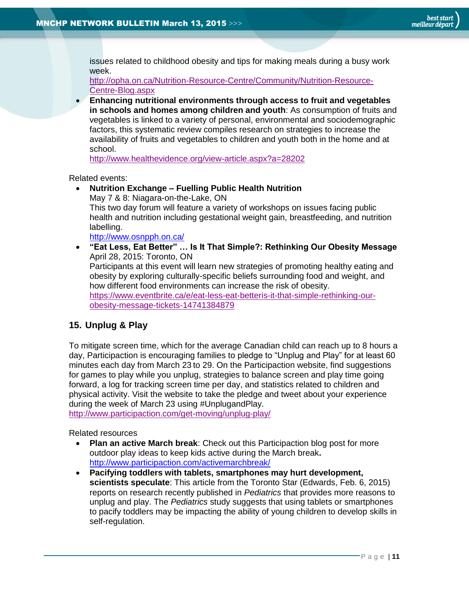issues related to childhood obesity and tips for making meals during a busy work week.

[http://opha.on.ca/Nutrition-Resource-Centre/Community/Nutrition-Resource-](http://opha.on.ca/Nutrition-Resource-Centre/Community/Nutrition-Resource-Centre-Blog.aspx)[Centre-Blog.aspx](http://opha.on.ca/Nutrition-Resource-Centre/Community/Nutrition-Resource-Centre-Blog.aspx)

 **Enhancing nutritional environments through access to fruit and vegetables in schools and homes among children and youth**: As consumption of fruits and vegetables is linked to a variety of personal, environmental and sociodemographic factors, this systematic review compiles research on strategies to increase the availability of fruits and vegetables to children and youth both in the home and at school.

<http://www.healthevidence.org/view-article.aspx?a=28202>

Related events:

 **Nutrition Exchange – Fuelling Public Health Nutrition** May 7 & 8: Niagara-on-the-Lake, ON This two day forum will feature a variety of workshops on issues facing public health and nutrition including gestational weight gain, breastfeeding, and nutrition labelling. <http://www.osnpph.on.ca/> **"Eat Less, Eat Better" … Is It That Simple?: Rethinking Our Obesity Message**

April 28, 2015: Toronto, ON Participants at this event will learn new strategies of promoting healthy eating and obesity by exploring culturally-specific beliefs surrounding food and weight, and

how different food environments can increase the risk of obesity. [https://www.eventbrite.ca/e/eat-less-eat-betteris-it-that-simple-rethinking-our-](https://www.eventbrite.ca/e/eat-less-eat-betteris-it-that-simple-rethinking-our-obesity-message-tickets-14741384879)

[obesity-message-tickets-14741384879](https://www.eventbrite.ca/e/eat-less-eat-betteris-it-that-simple-rethinking-our-obesity-message-tickets-14741384879)

## <span id="page-10-0"></span>**15. Unplug & Play**

To mitigate screen time, which for the average Canadian child can reach up to 8 hours a day, Participaction is encouraging families to pledge to "Unplug and Play" for at least 60 minutes each day from March 23 to 29. On the Participaction website, find suggestions for games to play while you unplug, strategies to balance screen and play time going forward, a log for tracking screen time per day, and statistics related to children and physical activity. Visit the website to take the pledge and tweet about your experience during the week of March 23 using #UnplugandPlay.

<http://www.participaction.com/get-moving/unplug-play/>

Related resources

- **Plan an active March break**: Check out this Participaction blog post for more outdoor play ideas to keep kids active during the March break**.** <http://www.participaction.com/activemarchbreak/>
- **Pacifying toddlers with tablets, smartphones may hurt development, scientists speculate**: This article from the Toronto Star (Edwards, Feb. 6, 2015) reports on research recently published in *Pediatrics* that provides more reasons to unplug and play. The *Pediatrics* study suggests that using tablets or smartphones to pacify toddlers may be impacting the ability of young children to develop skills in self-regulation.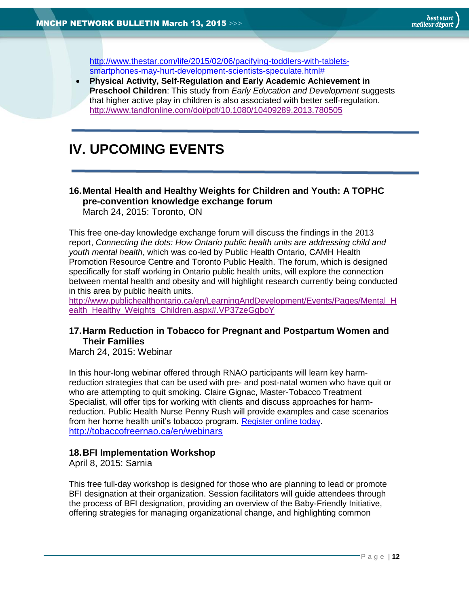<span id="page-11-0"></span>[http://www.thestar.com/life/2015/02/06/pacifying-toddlers-with-tablets](http://www.thestar.com/life/2015/02/06/pacifying-toddlers-with-tablets-smartphones-may-hurt-development-scientists-speculate.html)[smartphones-may-hurt-development-scientists-speculate.html#](http://www.thestar.com/life/2015/02/06/pacifying-toddlers-with-tablets-smartphones-may-hurt-development-scientists-speculate.html)

 **Physical Activity, Self-Regulation and Early Academic Achievement in Preschool Children**: This study from *Early Education and Development* suggests that higher active play in children is also associated with better self-regulation. <http://www.tandfonline.com/doi/pdf/10.1080/10409289.2013.780505>

# **IV. UPCOMING EVENTS**

#### <span id="page-11-1"></span>**16.Mental Health and Healthy Weights for Children and Youth: A TOPHC pre-convention knowledge exchange forum** March 24, 2015: Toronto, ON

This free one-day knowledge exchange forum will discuss the findings in the 2013 report, *Connecting the dots: How Ontario public health units are addressing child and youth mental health*, which was co-led by Public Health Ontario, CAMH Health Promotion Resource Centre and Toronto Public Health. The forum, which is designed specifically for staff working in Ontario public health units, will explore the connection between mental health and obesity and will highlight research currently being conducted in this area by public health units.

[http://www.publichealthontario.ca/en/LearningAndDevelopment/Events/Pages/Mental\\_H](http://www.publichealthontario.ca/en/LearningAndDevelopment/Events/Pages/Mental_Health_Healthy_Weights_Children.aspx#.VP37zeGgboY) [ealth\\_Healthy\\_Weights\\_Children.aspx#.VP37zeGgboY](http://www.publichealthontario.ca/en/LearningAndDevelopment/Events/Pages/Mental_Health_Healthy_Weights_Children.aspx#.VP37zeGgboY)

## <span id="page-11-2"></span>**17.Harm Reduction in Tobacco for Pregnant and Postpartum Women and Their Families**

March 24, 2015: Webinar

In this hour-long webinar offered through RNAO participants will learn key harmreduction strategies that can be used with pre- and post-natal women who have quit or who are attempting to quit smoking. Claire Gignac, Master-Tobacco Treatment Specialist, will offer tips for working with clients and discuss approaches for harmreduction. Public Health Nurse Penny Rush will provide examples and case scenarios from her home health unit's tobacco program. [Register online today.](https://rnaochampions.webex.com/mw0401lsp12/mywebex/default.do?nomenu=true&siteurl=rnaochampions&service=6&rnd=0.8123586298162597&main_url=https%3A%2F%2Frnaochampions.webex.com%2Fec0701lsp12%2Feventcenter%2Fevent%2FeventAction.do%3FtheAction%3Ddetail%26confViewID%3D1751311045%26%26EMK%3D4832534b00000002dd73641fb4482afd63922ecc9cc499ffe7cb861cc0ce61b4bd20fd36f570eddf%26%26%26siteurl%3Drnaochampions) <http://tobaccofreernao.ca/en/webinars>

#### <span id="page-11-3"></span>**18.BFI Implementation Workshop**

April 8, 2015: Sarnia

This free full-day workshop is designed for those who are planning to lead or promote BFI designation at their organization. Session facilitators will guide attendees through the process of BFI designation, providing an overview of the Baby-Friendly Initiative, offering strategies for managing organizational change, and highlighting common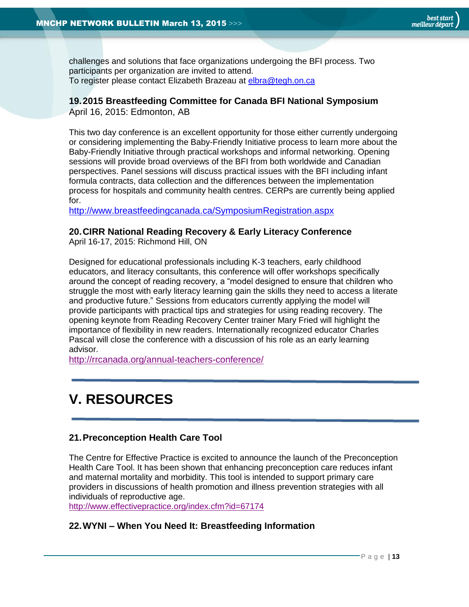challenges and solutions that face organizations undergoing the BFI process. Two participants per organization are invited to attend. To register please contact Elizabeth Brazeau at [elbra@tegh.on.ca](mailto:elbra@tegh.on.ca)

# <span id="page-12-0"></span>**19.2015 Breastfeeding Committee for Canada BFI National Symposium**

April 16, 2015: Edmonton, AB

This two day conference is an excellent opportunity for those either currently undergoing or considering implementing the Baby-Friendly Initiative process to learn more about the Baby-Friendly Initiative through practical workshops and informal networking. Opening sessions will provide broad overviews of the BFI from both worldwide and Canadian perspectives. Panel sessions will discuss practical issues with the BFI including infant formula contracts, data collection and the differences between the implementation process for hospitals and community health centres. CERPs are currently being applied for.

<http://www.breastfeedingcanada.ca/SymposiumRegistration.aspx>

## <span id="page-12-1"></span>**20.CIRR National Reading Recovery & Early Literacy Conference**

April 16-17, 2015: Richmond Hill, ON

Designed for educational professionals including K-3 teachers, early childhood educators, and literacy consultants, this conference will offer workshops specifically around the concept of reading recovery, a "model designed to ensure that children who struggle the most with early literacy learning gain the skills they need to access a literate and productive future." Sessions from educators currently applying the model will provide participants with practical tips and strategies for using reading recovery. The opening keynote from Reading Recovery Center trainer Mary Fried will highlight the importance of flexibility in new readers. Internationally recognized educator Charles Pascal will close the conference with a discussion of his role as an early learning advisor.

<http://rrcanada.org/annual-teachers-conference/>

# <span id="page-12-2"></span>**V. RESOURCES**

## <span id="page-12-3"></span>**21.Preconception Health Care Tool**

The Centre for Effective Practice is excited to announce the launch of the Preconception Health Care Tool. It has been shown that enhancing preconception care reduces infant and maternal mortality and morbidity. This tool is intended to support primary care providers in discussions of health promotion and illness prevention strategies with all individuals of reproductive age.

<http://www.effectivepractice.org/index.cfm?id=67174>

## <span id="page-12-4"></span>**22.WYNI – When You Need It: Breastfeeding Information**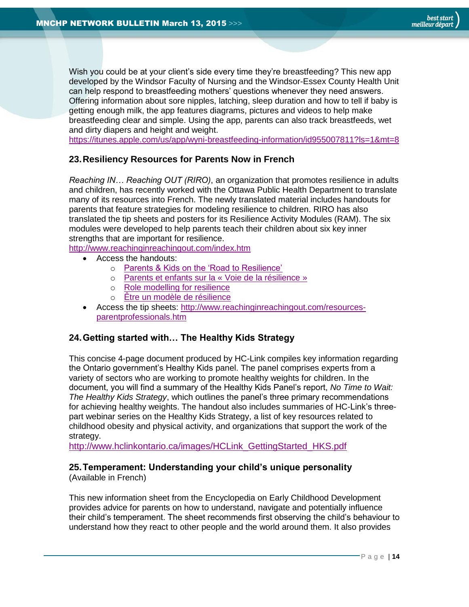Wish you could be at your client's side every time they're breastfeeding? This new app developed by the Windsor Faculty of Nursing and the Windsor-Essex County Health Unit can help respond to breastfeeding mothers' questions whenever they need answers. Offering information about sore nipples, latching, sleep duration and how to tell if baby is getting enough milk, the app features diagrams, pictures and videos to help make breastfeeding clear and simple. Using the app, parents can also track breastfeeds, wet and dirty diapers and height and weight.

<https://itunes.apple.com/us/app/wyni-breastfeeding-information/id955007811?ls=1&mt=8>

#### <span id="page-13-0"></span>**23.Resiliency Resources for Parents Now in French**

*Reaching IN… Reaching OUT (RIRO)*, an organization that promotes resilience in adults and children, has recently worked with the Ottawa Public Health Department to translate many of its resources into French. The newly translated material includes handouts for parents that feature strategies for modeling resilience to children. RIRO has also translated the tip sheets and posters for its Resilience Activity Modules (RAM). The six modules were developed to help parents teach their children about six key inner strengths that are important for resilience.

<http://www.reachinginreachingout.com/index.htm>

- Access the handouts:
	- o [Parents & Kids on the 'Road to Resilience'](http://www.reachinginreachingout.com/documents/PAS-handout-Roadsside-OCT4-11-FINAL.pdf)
	- o [Parents et enfants sur la «](http://www.reachinginreachingout.com/documents/RIRO_FRE_RoadtoResilience_Jan2015.pdf) Voie de la résilience »
	- o [Role modelling for resilience](http://www.reachinginreachingout.com/documents/PAS-handout-rolemodelingside-Oct4-12-FINAL.pdf)
	- o [Être un modèle de résilience](http://www.reachinginreachingout.com/documents/RIRO_FRE_RoleModellingforResilience_Jan2015.pdf)
- Access the tip sheets: [http://www.reachinginreachingout.com/resources](http://www.reachinginreachingout.com/resources-parentprofessionals.htm)[parentprofessionals.htm](http://www.reachinginreachingout.com/resources-parentprofessionals.htm)

## <span id="page-13-1"></span>**24.Getting started with… The Healthy Kids Strategy**

This concise 4-page document produced by HC-Link compiles key information regarding the Ontario government's Healthy Kids panel. The panel comprises experts from a variety of sectors who are working to promote healthy weights for children. In the document, you will find a summary of the Healthy Kids Panel's report, *No Time to Wait: The Healthy Kids Strategy*, which outlines the panel's three primary recommendations for achieving healthy weights. The handout also includes summaries of HC-Link's threepart webinar series on the Healthy Kids Strategy, a list of key resources related to childhood obesity and physical activity, and organizations that support the work of the strategy.

[http://www.hclinkontario.ca/images/HCLink\\_GettingStarted\\_HKS.pdf](http://www.hclinkontario.ca/images/HCLink_GettingStarted_HKS.pdf)

## <span id="page-13-2"></span>**25.Temperament: Understanding your child's unique personality**

(Available in French)

This new information sheet from the Encyclopedia on Early Childhood Development provides advice for parents on how to understand, navigate and potentially influence their child's temperament. The sheet recommends first observing the child's behaviour to understand how they react to other people and the world around them. It also provides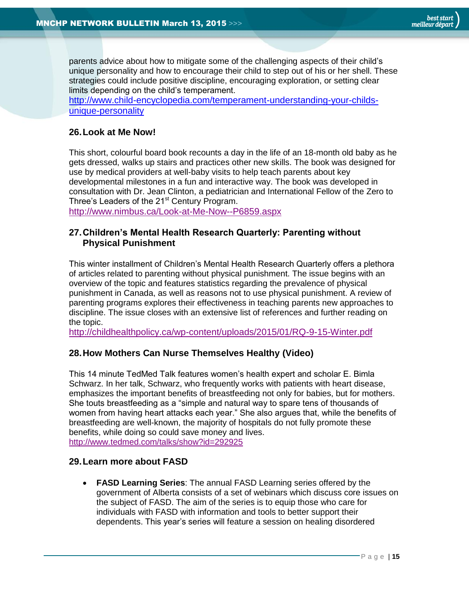parents advice about how to mitigate some of the challenging aspects of their child's unique personality and how to encourage their child to step out of his or her shell. These strategies could include positive discipline, encouraging exploration, or setting clear limits depending on the child's temperament.

[http://www.child-encyclopedia.com/temperament-understanding-your-childs](http://www.child-encyclopedia.com/temperament-understanding-your-childs-unique-personality)[unique-personality](http://www.child-encyclopedia.com/temperament-understanding-your-childs-unique-personality)

#### <span id="page-14-0"></span>**26.Look at Me Now!**

This short, colourful board book recounts a day in the life of an 18-month old baby as he gets dressed, walks up stairs and practices other new skills. The book was designed for use by medical providers at well-baby visits to help teach parents about key developmental milestones in a fun and interactive way. The book was developed in consultation with Dr. Jean Clinton, a pediatrician and International Fellow of the Zero to Three's Leaders of the 21<sup>st</sup> Century Program.

<http://www.nimbus.ca/Look-at-Me-Now--P6859.aspx>

#### <span id="page-14-1"></span>**27.Children's Mental Health Research Quarterly: Parenting without Physical Punishment**

This winter installment of Children's Mental Health Research Quarterly offers a plethora of articles related to parenting without physical punishment. The issue begins with an overview of the topic and features statistics regarding the prevalence of physical punishment in Canada, as well as reasons not to use physical punishment. A review of parenting programs explores their effectiveness in teaching parents new approaches to discipline. The issue closes with an extensive list of references and further reading on the topic.

<http://childhealthpolicy.ca/wp-content/uploads/2015/01/RQ-9-15-Winter.pdf>

#### **28.How Mothers Can Nurse Themselves Healthy (Video)**

This 14 minute TedMed Talk features women's health expert and scholar E. Bimla Schwarz. In her talk, Schwarz, who frequently works with patients with heart disease, emphasizes the important benefits of breastfeeding not only for babies, but for mothers. She touts breastfeeding as a "simple and natural way to spare tens of thousands of women from having heart attacks each year." She also argues that, while the benefits of breastfeeding are well-known, the majority of hospitals do not fully promote these benefits, while doing so could save money and lives. <http://www.tedmed.com/talks/show?id=292925>

#### <span id="page-14-2"></span>**29.Learn more about FASD**

 **FASD Learning Series**: The annual FASD Learning series offered by the government of Alberta consists of a set of webinars which discuss core issues on the subject of FASD. The aim of the series is to equip those who care for individuals with FASD with information and tools to better support their dependents. This year's series will feature a session on healing disordered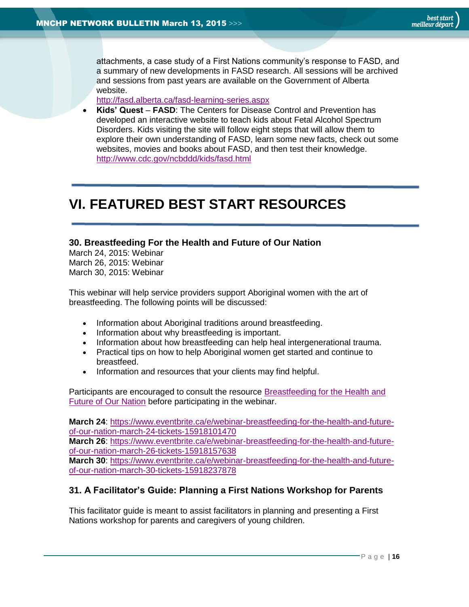attachments, a case study of a First Nations community's response to FASD, and a summary of new developments in FASD research. All sessions will be archived and sessions from past years are available on the Government of Alberta website.

<http://fasd.alberta.ca/fasd-learning-series.aspx>

 **Kids' Quest** – **FASD**: The Centers for Disease Control and Prevention has developed an interactive website to teach kids about Fetal Alcohol Spectrum Disorders. Kids visiting the site will follow eight steps that will allow them to explore their own understanding of FASD, learn some new facts, check out some websites, movies and books about FASD, and then test their knowledge. <http://www.cdc.gov/ncbddd/kids/fasd.html>

# <span id="page-15-0"></span>**VI. FEATURED BEST START RESOURCES**

#### <span id="page-15-1"></span>**30. Breastfeeding For the Health and Future of Our Nation**

March 24, 2015: Webinar March 26, 2015: Webinar March 30, 2015: Webinar

This webinar will help service providers support Aboriginal women with the art of breastfeeding. The following points will be discussed:

- Information about Aboriginal traditions around breastfeeding.
- Information about why breastfeeding is important.
- Information about how breastfeeding can help heal intergenerational trauma.
- Practical tips on how to help Aboriginal women get started and continue to breastfeed.
- Information and resources that your clients may find helpful.

Participants are encouraged to consult the resource [Breastfeeding for the Health and](http://www.beststart.org/resources/breastfeeding/BFHFN_sept26.pdf)  [Future of Our Nation](http://www.beststart.org/resources/breastfeeding/BFHFN_sept26.pdf) before participating in the webinar.

**March 24**: [https://www.eventbrite.ca/e/webinar-breastfeeding-for-the-health-and-future](https://www.eventbrite.ca/e/webinar-breastfeeding-for-the-health-and-future-of-our-nation-march-24-tickets-15918101470)[of-our-nation-march-24-tickets-15918101470](https://www.eventbrite.ca/e/webinar-breastfeeding-for-the-health-and-future-of-our-nation-march-24-tickets-15918101470)

**March 26**: [https://www.eventbrite.ca/e/webinar-breastfeeding-for-the-health-and-future](https://www.eventbrite.ca/e/webinar-breastfeeding-for-the-health-and-future-of-our-nation-march-26-tickets-15918157638)[of-our-nation-march-26-tickets-15918157638](https://www.eventbrite.ca/e/webinar-breastfeeding-for-the-health-and-future-of-our-nation-march-26-tickets-15918157638)

**March 30**: [https://www.eventbrite.ca/e/webinar-breastfeeding-for-the-health-and-future](https://www.eventbrite.ca/e/webinar-breastfeeding-for-the-health-and-future-of-our-nation-march-30-tickets-15918237878)[of-our-nation-march-30-tickets-15918237878](https://www.eventbrite.ca/e/webinar-breastfeeding-for-the-health-and-future-of-our-nation-march-30-tickets-15918237878)

## <span id="page-15-2"></span>**31. A Facilitator's Guide: Planning a First Nations Workshop for Parents**

This facilitator guide is meant to assist facilitators in planning and presenting a First Nations workshop for parents and caregivers of young children.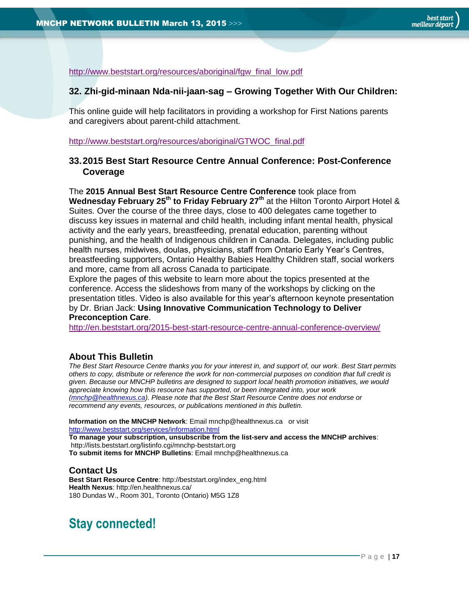[http://www.beststart.org/resources/aboriginal/fgw\\_final\\_low.pdf](http://www.beststart.org/resources/aboriginal/fgw_final_low.pdf)

#### <span id="page-16-1"></span>**32. Zhi-gid-minaan Nda-nii-jaan-sag – Growing Together With Our Children:**

This online guide will help facilitators in providing a workshop for First Nations parents and caregivers about parent-child attachment.

[http://www.beststart.org/resources/aboriginal/GTWOC\\_final.pdf](http://www.beststart.org/resources/aboriginal/GTWOC_final.pdf)

#### <span id="page-16-2"></span>**33.2015 Best Start Resource Centre Annual Conference: Post-Conference Coverage**

The **2015 Annual Best Start Resource Centre Conference** took place from **Wednesday February 25th to Friday February 27th** at the Hilton Toronto Airport Hotel & Suites. Over the course of the three days, close to 400 delegates came together to discuss key issues in maternal and child health, including infant mental health, physical activity and the early years, breastfeeding, prenatal education, parenting without punishing, and the health of Indigenous children in Canada. Delegates, including public health nurses, midwives, doulas, physicians, staff from Ontario Early Year's Centres, breastfeeding supporters, Ontario Healthy Babies Healthy Children staff, social workers and more, came from all across Canada to participate.

Explore the pages of this website to learn more about the topics presented at the conference. Access the slideshows from many of the workshops by clicking on the presentation titles. Video is also available for this year's afternoon keynote presentation by Dr. Brian Jack: **[Using Innovative Communication Technology to Deliver](http://youtu.be/MIl3m6K_3Hw)  [Preconception Care](http://youtu.be/MIl3m6K_3Hw)**.

<http://en.beststart.org/2015-best-start-resource-centre-annual-conference-overview/>

#### <span id="page-16-0"></span>**About This Bulletin**

*The Best Start Resource Centre thanks you for your interest in, and support of, our work. Best Start permits others to copy, distribute or reference the work for non-commercial purposes on condition that full credit is given. Because our MNCHP bulletins are designed to support local health promotion initiatives, we would appreciate knowing how this resource has supported, or been integrated into, your work [\(mnchp@healthnexus.ca\)](mailto:mnchp@healthnexus.ca). Please note that the Best Start Resource Centre does not endorse or recommend any events, resources, or publications mentioned in this bulletin.* 

**Information on the MNCHP Network**: Email mnchp@healthnexus.ca or visit <http://www.beststart.org/services/information.html> **To manage your subscription, unsubscribe from the list-serv and access the MNCHP archives**: http://lists.beststart.org/listinfo.cgi/mnchp-beststart.org **To submit items for MNCHP Bulletins**: Email mnchp@healthnexus.ca

#### **Contact Us**

**Best Start Resource Centre**: http://beststart.org/index\_eng.html **Health Nexus**: http://en.healthnexus.ca/ 180 Dundas W., Room 301, Toronto (Ontario) M5G 1Z8

# **Stay connected!**